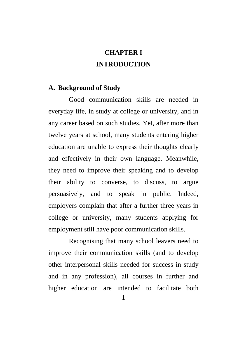## **CHAPTER I INTRODUCTION**

#### **A. Background of Study**

Good communication skills are needed in everyday life, in study at college or university, and in any career based on such studies. Yet, after more than twelve years at school, many students entering higher education are unable to express their thoughts clearly and effectively in their own language. Meanwhile, they need to improve their speaking and to develop their ability to converse, to discuss, to argue persuasively, and to speak in public. Indeed, employers complain that after a further three years in college or university, many students applying for employment still have poor communication skills.

Recognising that many school leavers need to improve their communication skills (and to develop other interpersonal skills needed for success in study and in any profession), all courses in further and higher education are intended to facilitate both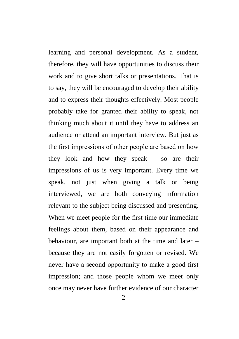learning and personal development. As a student, therefore, they will have opportunities to discuss their work and to give short talks or presentations. That is to say, they will be encouraged to develop their ability and to express their thoughts effectively. Most people probably take for granted their ability to speak, not thinking much about it until they have to address an audience or attend an important interview. But just as the first impressions of other people are based on how they look and how they speak – so are their impressions of us is very important. Every time we speak, not just when giving a talk or being interviewed, we are both conveying information relevant to the subject being discussed and presenting. When we meet people for the first time our immediate feelings about them, based on their appearance and behaviour, are important both at the time and later – because they are not easily forgotten or revised. We never have a second opportunity to make a good first impression; and those people whom we meet only once may never have further evidence of our character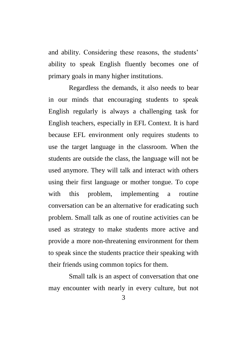and ability. Considering these reasons, the students' ability to speak English fluently becomes one of primary goals in many higher institutions.

Regardless the demands, it also needs to bear in our minds that encouraging students to speak English regularly is always a challenging task for English teachers, especially in EFL Context. It is hard because EFL environment only requires students to use the target language in the classroom. When the students are outside the class, the language will not be used anymore. They will talk and interact with others using their first language or mother tongue. To cope with this problem, implementing a routine conversation can be an alternative for eradicating such problem. Small talk as one of routine activities can be used as strategy to make students more active and provide a more non-threatening environment for them to speak since the students practice their speaking with their friends using common topics for them.

Small talk is an aspect of conversation that one may encounter with nearly in every culture, but not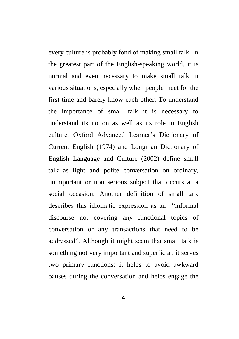every culture is probably fond of making small talk. In the greatest part of the English-speaking world, it is normal and even necessary to make small talk in various situations, especially when people meet for the first time and barely know each other. To understand the importance of small talk it is necessary to understand its notion as well as its role in English culture. Oxford Advanced Learner's Dictionary of Current English (1974) and Longman Dictionary of English Language and Culture (2002) define small talk as light and polite conversation on ordinary, unimportant or non serious subject that occurs at a social occasion. Another definition of small talk describes this idiomatic expression as an "informal discourse not covering any functional topics of conversation or any transactions that need to be addressed". Although it might seem that small talk is something not very important and superficial, it serves two primary functions: it helps to avoid awkward pauses during the conversation and helps engage the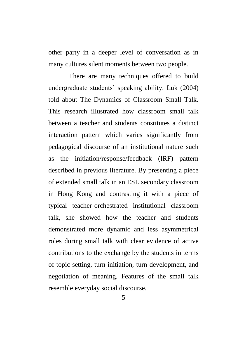other party in a deeper level of conversation as in many cultures silent moments between two people.

There are many techniques offered to build undergraduate students' speaking ability. Luk (2004) told about The Dynamics of Classroom Small Talk. This research illustrated how classroom small talk between a teacher and students constitutes a distinct interaction pattern which varies significantly from pedagogical discourse of an institutional nature such as the initiation/response/feedback (IRF) pattern described in previous literature. By presenting a piece of extended small talk in an ESL secondary classroom in Hong Kong and contrasting it with a piece of typical teacher-orchestrated institutional classroom talk, she showed how the teacher and students demonstrated more dynamic and less asymmetrical roles during small talk with clear evidence of active contributions to the exchange by the students in terms of topic setting, turn initiation, turn development, and negotiation of meaning. Features of the small talk resemble everyday social discourse.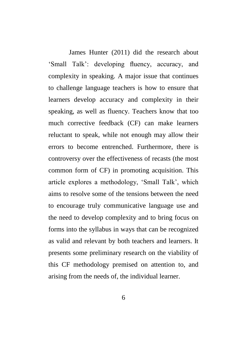James Hunter (2011) did the research about 'Small Talk': developing fluency, accuracy, and complexity in speaking. A major issue that continues to challenge language teachers is how to ensure that learners develop accuracy and complexity in their speaking, as well as fluency. Teachers know that too much corrective feedback (CF) can make learners reluctant to speak, while not enough may allow their errors to become entrenched. Furthermore, there is controversy over the effectiveness of recasts (the most common form of CF) in promoting acquisition. This article explores a methodology, 'Small Talk', which aims to resolve some of the tensions between the need to encourage truly communicative language use and the need to develop complexity and to bring focus on forms into the syllabus in ways that can be recognized as valid and relevant by both teachers and learners. It presents some preliminary research on the viability of this CF methodology premised on attention to, and arising from the needs of, the individual learner.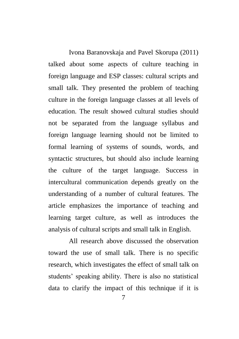Ivona Baranovskaja and Pavel Skorupa (2011) talked about some aspects of culture teaching in foreign language and ESP classes: cultural scripts and small talk. They presented the problem of teaching culture in the foreign language classes at all levels of education. The result showed cultural studies should not be separated from the language syllabus and foreign language learning should not be limited to formal learning of systems of sounds, words, and syntactic structures, but should also include learning the culture of the target language. Success in intercultural communication depends greatly on the understanding of a number of cultural features. The article emphasizes the importance of teaching and learning target culture, as well as introduces the analysis of cultural scripts and small talk in English.

All research above discussed the observation toward the use of small talk. There is no specific research, which investigates the effect of small talk on students' speaking ability. There is also no statistical data to clarify the impact of this technique if it is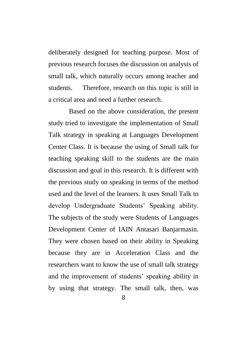deliberately designed for teaching purpose. Most of previous research focuses the discussion on analysis of small talk, which naturally occurs among teacher and students. Therefore, research on this topic is still in a critical area and need a further research.

Based on the above consideration, the present study tried to investigate the implementation of Small Talk strategy in speaking at Languages Development Center Class. It is because the using of Small talk for teaching speaking skill to the students are the main discussion and goal in this research. It is different with the previous study on speaking in terms of the method used and the level of the learners. It uses Small Talk to develop Undergraduate Students' Speaking ability. The subjects of the study were Students of Languages Development Center of IAIN Antasari Banjarmasin. They were chosen based on their ability in Speaking because they are in Acceleration Class and the researchers want to know the use of small talk strategy and the improvement of students' speaking ability in by using that strategy. The small talk, then, was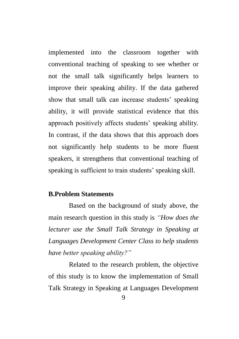implemented into the classroom together with conventional teaching of speaking to see whether or not the small talk significantly helps learners to improve their speaking ability. If the data gathered show that small talk can increase students' speaking ability, it will provide statistical evidence that this approach positively affects students' speaking ability. In contrast, if the data shows that this approach does not significantly help students to be more fluent speakers, it strengthens that conventional teaching of speaking is sufficient to train students' speaking skill.

## **B.Problem Statements**

Based on the background of study above, the main research question in this study is *"How does the lecturer use the Small Talk Strategy in Speaking at Languages Development Center Class to help students have better speaking ability?"*

Related to the research problem, the objective of this study is to know the implementation of Small Talk Strategy in Speaking at Languages Development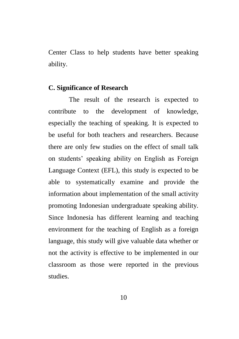Center Class to help students have better speaking ability.

### **C. Significance of Research**

The result of the research is expected to contribute to the development of knowledge, especially the teaching of speaking. It is expected to be useful for both teachers and researchers. Because there are only few studies on the effect of small talk on students' speaking ability on English as Foreign Language Context (EFL), this study is expected to be able to systematically examine and provide the information about implementation of the small activity promoting Indonesian undergraduate speaking ability. Since Indonesia has different learning and teaching environment for the teaching of English as a foreign language, this study will give valuable data whether or not the activity is effective to be implemented in our classroom as those were reported in the previous studies.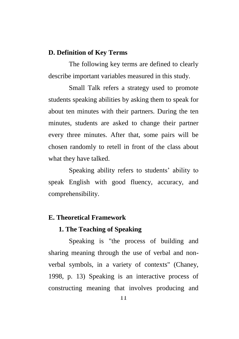### **D. Definition of Key Terms**

The following key terms are defined to clearly describe important variables measured in this study.

Small Talk refers a strategy used to promote students speaking abilities by asking them to speak for about ten minutes with their partners. During the ten minutes, students are asked to change their partner every three minutes. After that, some pairs will be chosen randomly to retell in front of the class about what they have talked.

Speaking ability refers to students' ability to speak English with good fluency, accuracy, and comprehensibility.

#### **E. Theoretical Framework**

### **1. The Teaching of Speaking**

Speaking is "the process of building and sharing meaning through the use of verbal and nonverbal symbols, in a variety of contexts" (Chaney, 1998, p. 13) Speaking is an interactive process of constructing meaning that involves producing and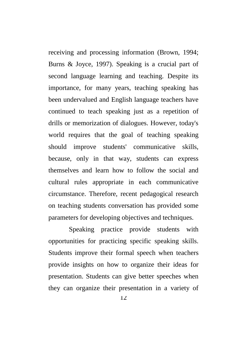receiving and processing information (Brown, 1994; Burns & Joyce, 1997). Speaking is a crucial part of second language learning and teaching. Despite its importance, for many years, teaching speaking has been undervalued and English language teachers have continued to teach speaking just as a repetition of drills or memorization of dialogues. However, today's world requires that the goal of teaching speaking should improve students' communicative skills, because, only in that way, students can express themselves and learn how to follow the social and cultural rules appropriate in each communicative circumstance. Therefore, recent pedagogical research on teaching students conversation has provided some parameters for developing objectives and techniques.

Speaking practice provide students with opportunities for practicing specific speaking skills. Students improve their formal speech when teachers provide insights on how to organize their ideas for presentation. Students can give better speeches when they can organize their presentation in a variety of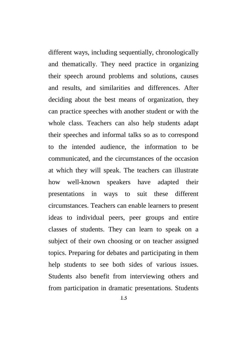different ways, including sequentially, chronologically and thematically. They need practice in organizing their speech around problems and solutions, causes and results, and similarities and differences. After deciding about the best means of organization, they can practice speeches with another student or with the whole class. Teachers can also help students adapt their speeches and informal talks so as to correspond to the intended audience, the information to be communicated, and the circumstances of the occasion at which they will speak. The teachers can illustrate how well-known speakers have adapted their presentations in ways to suit these different circumstances. Teachers can enable learners to present ideas to individual peers, peer groups and entire classes of students. They can learn to speak on a subject of their own choosing or on teacher assigned topics. Preparing for debates and participating in them help students to see both sides of various issues. Students also benefit from interviewing others and from participation in dramatic presentations. Students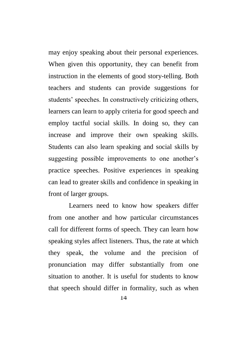may enjoy speaking about their personal experiences. When given this opportunity, they can benefit from instruction in the elements of good story-telling. Both teachers and students can provide suggestions for students' speeches. In constructively criticizing others, learners can learn to apply criteria for good speech and employ tactful social skills. In doing so, they can increase and improve their own speaking skills. Students can also learn speaking and social skills by suggesting possible improvements to one another's practice speeches. Positive experiences in speaking can lead to greater skills and confidence in speaking in front of larger groups.

Learners need to know how speakers differ from one another and how particular circumstances call for different forms of speech. They can learn how speaking styles affect listeners. Thus, the rate at which they speak, the volume and the precision of pronunciation may differ substantially from one situation to another. It is useful for students to know that speech should differ in formality, such as when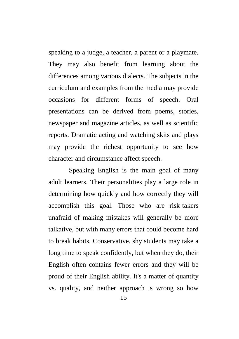speaking to a judge, a teacher, a parent or a playmate. They may also benefit from learning about the differences among various dialects. The subjects in the curriculum and examples from the media may provide occasions for different forms of speech. Oral presentations can be derived from poems, stories, newspaper and magazine articles, as well as scientific reports. Dramatic acting and watching skits and plays may provide the richest opportunity to see how character and circumstance affect speech.

Speaking English is the main goal of many adult learners. Their personalities play a large role in determining how quickly and how correctly they will accomplish this goal. Those who are risk-takers unafraid of making mistakes will generally be more talkative, but with many errors that could become hard to break habits. Conservative, shy students may take a long time to speak confidently, but when they do, their English often contains fewer errors and they will be proud of their English ability. It's a matter of quantity vs. quality, and neither approach is wrong so how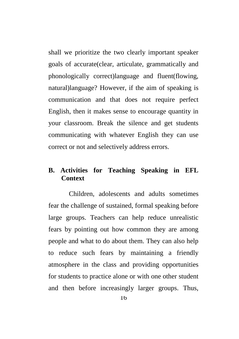shall we prioritize the two clearly important speaker goals of accurate(clear, articulate, grammatically and phonologically correct)language and fluent(flowing, natural)language? However, if the aim of speaking is communication and that does not require perfect English, then it makes sense to encourage quantity in your classroom. Break the silence and get students communicating with whatever English they can use correct or not and selectively address errors.

## **B. Activities for Teaching Speaking in EFL Context**

Children, adolescents and adults sometimes fear the challenge of sustained, formal speaking before large groups. Teachers can help reduce unrealistic fears by pointing out how common they are among people and what to do about them. They can also help to reduce such fears by maintaining a friendly atmosphere in the class and providing opportunities for students to practice alone or with one other student and then before increasingly larger groups. Thus,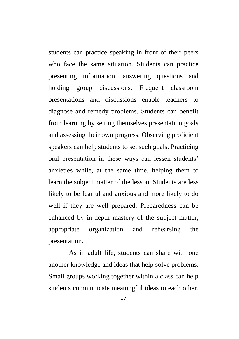students can practice speaking in front of their peers who face the same situation. Students can practice presenting information, answering questions and holding group discussions. Frequent classroom presentations and discussions enable teachers to diagnose and remedy problems. Students can benefit from learning by setting themselves presentation goals and assessing their own progress. Observing proficient speakers can help students to set such goals. Practicing oral presentation in these ways can lessen students' anxieties while, at the same time, helping them to learn the subject matter of the lesson. Students are less likely to be fearful and anxious and more likely to do well if they are well prepared. Preparedness can be enhanced by in-depth mastery of the subject matter, appropriate organization and rehearsing the presentation.

As in adult life, students can share with one another knowledge and ideas that help solve problems. Small groups working together within a class can help students communicate meaningful ideas to each other.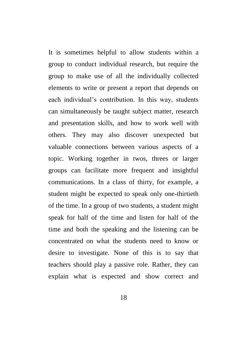It is sometimes helpful to allow students within a group to conduct individual research, but require the group to make use of all the individually collected elements to write or present a report that depends on each individual's contribution. In this way, students can simultaneously be taught subject matter, research and presentation skills, and how to work well with others. They may also discover unexpected but valuable connections between various aspects of a topic. Working together in twos, threes or larger groups can facilitate more frequent and insightful communications. In a class of thirty, for example, a student might be expected to speak only one-thirtieth of the time. In a group of two students, a student might speak for half of the time and listen for half of the time and both the speaking and the listening can be concentrated on what the students need to know or desire to investigate. None of this is to say that teachers should play a passive role. Rather, they can explain what is expected and show correct and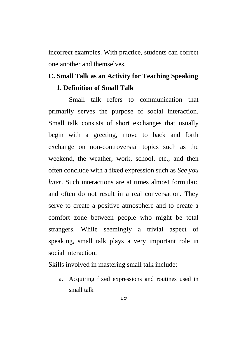incorrect examples. With practice, students can correct one another and themselves.

## **C. Small Talk as an Activity for Teaching Speaking 1. Definition of Small Talk**

Small talk refers to communication that primarily serves the purpose of social interaction. Small talk consists of short exchanges that usually begin with a greeting, move to back and forth exchange on non-controversial topics such as the weekend, the weather, work, school, etc., and then often conclude with a fixed expression such as *See you later*. Such interactions are at times almost formulaic and often do not result in a real conversation. They serve to create a positive atmosphere and to create a comfort zone between people who might be total strangers. While seemingly a trivial aspect of speaking, small talk plays a very important role in social interaction.

Skills involved in mastering small talk include:

a. Acquiring fixed expressions and routines used in small talk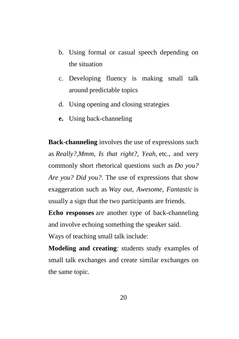- b. Using formal or casual speech depending on the situation
- c. Developing fluency is making small talk around predictable topics
- d. Using opening and closing strategies
- **e.** Using back-channeling

**Back-channeling** involves the use of expressions such as *Really?,Mmm, Is that right?, Yeah,* etc., and very commonly short rhetorical questions such as *Do you? Are you? Did you?*. The use of expressions that show exaggeration such as *Way out, Awesome, Fantastic* is usually a sign that the two participants are friends.

**Echo responses** are another type of back-channeling and involve echoing something the speaker said. Ways of teaching small talk include:

**Modeling and creating**: students study examples of small talk exchanges and create similar exchanges on the same topic.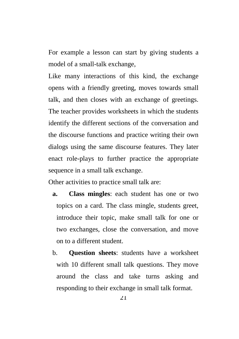For example a lesson can start by giving students a model of a small-talk exchange,

Like many interactions of this kind, the exchange opens with a friendly greeting, moves towards small talk, and then closes with an exchange of greetings. The teacher provides worksheets in which the students identify the different sections of the conversation and the discourse functions and practice writing their own dialogs using the same discourse features. They later enact role-plays to further practice the appropriate sequence in a small talk exchange.

Other activities to practice small talk are:

- **a. Class mingles**: each student has one or two topics on a card. The class mingle, students greet, introduce their topic, make small talk for one or two exchanges, close the conversation, and move on to a different student.
- b. **Question sheets**: students have a worksheet with 10 different small talk questions. They move around the class and take turns asking and responding to their exchange in small talk format.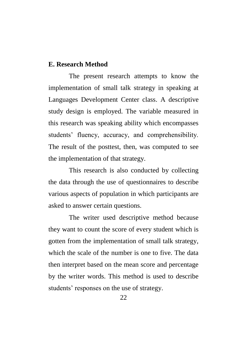### **E. Research Method**

The present research attempts to know the implementation of small talk strategy in speaking at Languages Development Center class. A descriptive study design is employed. The variable measured in this research was speaking ability which encompasses students' fluency, accuracy, and comprehensibility. The result of the posttest, then, was computed to see the implementation of that strategy.

This research is also conducted by collecting the data through the use of questionnaires to describe various aspects of population in which participants are asked to answer certain questions.

The writer used descriptive method because they want to count the score of every student which is gotten from the implementation of small talk strategy, which the scale of the number is one to five. The data then interpret based on the mean score and percentage by the writer words. This method is used to describe students' responses on the use of strategy.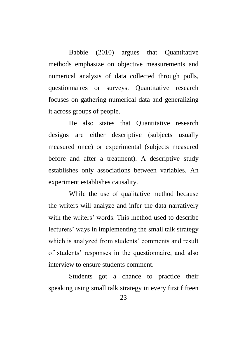Babbie (2010) argues that Quantitative methods emphasize on objective measurements and numerical analysis of data collected through polls, questionnaires or surveys. Quantitative research focuses on gathering numerical data and generalizing it across groups of people.

He also states that Quantitative research designs are either descriptive (subjects usually measured once) or experimental (subjects measured before and after a treatment). A descriptive study establishes only associations between variables. An experiment establishes causality.

While the use of qualitative method because the writers will analyze and infer the data narratively with the writers' words. This method used to describe lecturers' ways in implementing the small talk strategy which is analyzed from students' comments and result of students' responses in the questionnaire, and also interview to ensure students comment.

Students got a chance to practice their speaking using small talk strategy in every first fifteen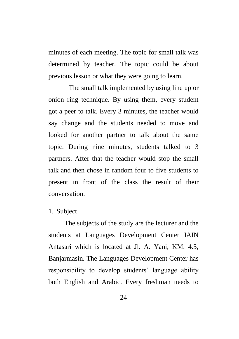minutes of each meeting. The topic for small talk was determined by teacher. The topic could be about previous lesson or what they were going to learn.

The small talk implemented by using line up or onion ring technique. By using them, every student got a peer to talk. Every 3 minutes, the teacher would say change and the students needed to move and looked for another partner to talk about the same topic. During nine minutes, students talked to 3 partners. After that the teacher would stop the small talk and then chose in random four to five students to present in front of the class the result of their conversation.

## 1. Subject

The subjects of the study are the lecturer and the students at Languages Development Center IAIN Antasari which is located at Jl. A. Yani, KM. 4.5, Banjarmasin. The Languages Development Center has responsibility to develop students' language ability both English and Arabic. Every freshman needs to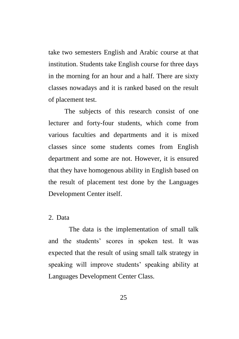take two semesters English and Arabic course at that institution. Students take English course for three days in the morning for an hour and a half. There are sixty classes nowadays and it is ranked based on the result of placement test.

The subjects of this research consist of one lecturer and forty-four students, which come from various faculties and departments and it is mixed classes since some students comes from English department and some are not. However, it is ensured that they have homogenous ability in English based on the result of placement test done by the Languages Development Center itself.

#### 2. Data

The data is the implementation of small talk and the students' scores in spoken test. It was expected that the result of using small talk strategy in speaking will improve students' speaking ability at Languages Development Center Class.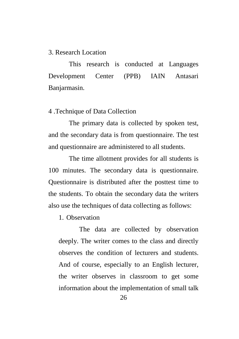### 3. Research Location

This research is conducted at Languages Development Center (PPB) IAIN Antasari Banjarmasin.

### 4 .Technique of Data Collection

The primary data is collected by spoken test, and the secondary data is from questionnaire. The test and questionnaire are administered to all students.

The time allotment provides for all students is 100 minutes. The secondary data is questionnaire. Questionnaire is distributed after the posttest time to the students. To obtain the secondary data the writers also use the techniques of data collecting as follows:

1. Observation

The data are collected by observation deeply. The writer comes to the class and directly observes the condition of lecturers and students. And of course, especially to an English lecturer, the writer observes in classroom to get some information about the implementation of small talk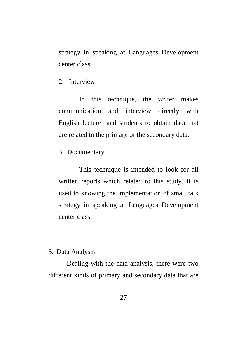strategy in speaking at Languages Development center class.

2. Interview

In this technique, the writer makes communication and interview directly with English lecturer and students to obtain data that are related to the primary or the secondary data.

3. Documentary

This technique is intended to look for all written reports which related to this study. It is used to knowing the implementation of small talk strategy in speaking at Languages Development center class.

## 5. Data Analysis

Dealing with the data analysis, there were two different kinds of primary and secondary data that are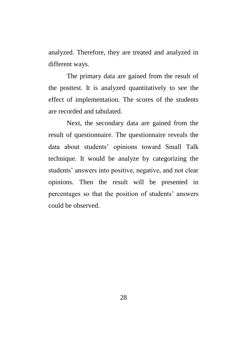analyzed. Therefore, they are treated and analyzed in different ways.

The primary data are gained from the result of the posttest. It is analyzed quantitatively to see the effect of implementation. The scores of the students are recorded and tabulated.

Next, the secondary data are gained from the result of questionnaire. The questionnaire reveals the data about students' opinions toward Small Talk technique. It would be analyze by categorizing the students' answers into positive, negative, and not clear opinions. Then the result will be presented in percentages so that the position of students' answers could be observed.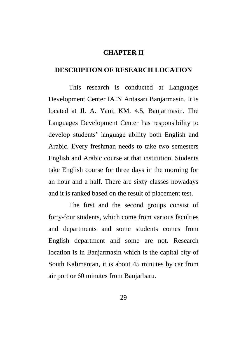#### **CHAPTER II**

### **DESCRIPTION OF RESEARCH LOCATION**

This research is conducted at Languages Development Center IAIN Antasari Banjarmasin. It is located at Jl. A. Yani, KM. 4.5, Banjarmasin. The Languages Development Center has responsibility to develop students' language ability both English and Arabic. Every freshman needs to take two semesters English and Arabic course at that institution. Students take English course for three days in the morning for an hour and a half. There are sixty classes nowadays and it is ranked based on the result of placement test.

The first and the second groups consist of forty-four students, which come from various faculties and departments and some students comes from English department and some are not. Research location is in Banjarmasin which is the capital city of South Kalimantan, it is about 45 minutes by car from air port or 60 minutes from Banjarbaru.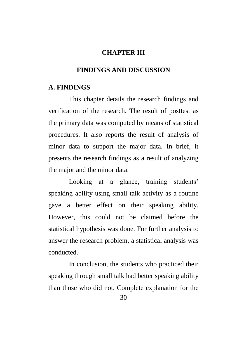#### **CHAPTER III**

### **FINDINGS AND DISCUSSION**

#### **A. FINDINGS**

This chapter details the research findings and verification of the research. The result of posttest as the primary data was computed by means of statistical procedures. It also reports the result of analysis of minor data to support the major data. In brief, it presents the research findings as a result of analyzing the major and the minor data.

Looking at a glance, training students' speaking ability using small talk activity as a routine gave a better effect on their speaking ability. However, this could not be claimed before the statistical hypothesis was done. For further analysis to answer the research problem, a statistical analysis was conducted.

In conclusion, the students who practiced their speaking through small talk had better speaking ability than those who did not. Complete explanation for the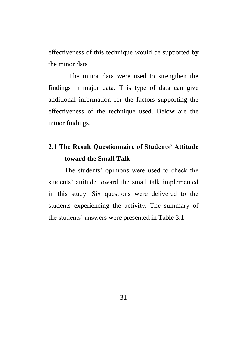effectiveness of this technique would be supported by the minor data.

The minor data were used to strengthen the findings in major data. This type of data can give additional information for the factors supporting the effectiveness of the technique used. Below are the minor findings.

## **2.1 The Result Questionnaire of Students' Attitude toward the Small Talk**

The students' opinions were used to check the students' attitude toward the small talk implemented in this study. Six questions were delivered to the students experiencing the activity. The summary of the students' answers were presented in Table 3.1.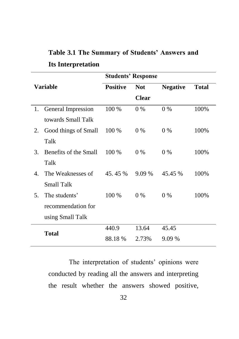|                           | Table 3.1 The Summary of Students' Answers and |  |  |
|---------------------------|------------------------------------------------|--|--|
| <b>Its Interpretation</b> |                                                |  |  |

| Variable         |                       |                 | <b>Students' Response</b> |                 |              |
|------------------|-----------------------|-----------------|---------------------------|-----------------|--------------|
|                  |                       | <b>Positive</b> | <b>Not</b>                | <b>Negative</b> | <b>Total</b> |
|                  |                       |                 | <b>Clear</b>              |                 |              |
| 1.               | General Impression    | 100 %           | $0\%$                     | $0\%$           | 100%         |
|                  | towards Small Talk    |                 |                           |                 |              |
| 2.               | Good things of Small  | 100 %           | 0 %                       | $0\%$           | 100%         |
|                  | Talk                  |                 |                           |                 |              |
| 3.               | Benefits of the Small | $100\%$         | $0\%$                     | $0\%$           | 100%         |
|                  | Talk                  |                 |                           |                 |              |
| $\overline{4}$ . | The Weaknesses of     | 45.45%          | 9.09 %                    | 45.45 %         | 100%         |
|                  | <b>Small Talk</b>     |                 |                           |                 |              |
| 5.               | The students'         | $100\%$         | $0\%$                     | $0\%$           | 100%         |
|                  | recommendation for    |                 |                           |                 |              |
|                  | using Small Talk      |                 |                           |                 |              |
| <b>Total</b>     |                       | 440.9           | 13.64                     | 45.45           |              |
|                  |                       | 88.18%          | 2.73%                     | 9.09 %          |              |

The interpretation of students' opinions were conducted by reading all the answers and interpreting the result whether the answers showed positive,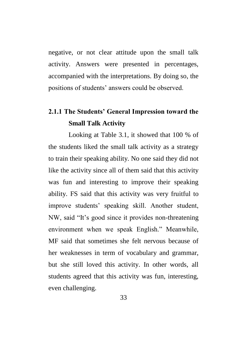negative, or not clear attitude upon the small talk activity. Answers were presented in percentages, accompanied with the interpretations. By doing so, the positions of students' answers could be observed.

# **2.1.1 The Students' General Impression toward the Small Talk Activity**

Looking at Table 3.1, it showed that 100 % of the students liked the small talk activity as a strategy to train their speaking ability. No one said they did not like the activity since all of them said that this activity was fun and interesting to improve their speaking ability. FS said that this activity was very fruitful to improve students' speaking skill. Another student, NW, said "It's good since it provides non-threatening environment when we speak English." Meanwhile, MF said that sometimes she felt nervous because of her weaknesses in term of vocabulary and grammar, but she still loved this activity. In other words, all students agreed that this activity was fun, interesting, even challenging.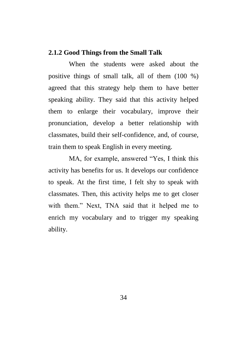## **2.1.2 Good Things from the Small Talk**

When the students were asked about the positive things of small talk, all of them (100 %) agreed that this strategy help them to have better speaking ability. They said that this activity helped them to enlarge their vocabulary, improve their pronunciation, develop a better relationship with classmates, build their self-confidence, and, of course, train them to speak English in every meeting.

MA, for example, answered "Yes, I think this activity has benefits for us. It develops our confidence to speak. At the first time, I felt shy to speak with classmates. Then, this activity helps me to get closer with them." Next, TNA said that it helped me to enrich my vocabulary and to trigger my speaking ability.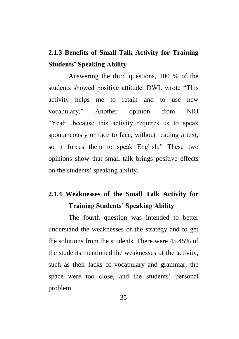## **2.1.3 Benefits of Small Talk Activity for Training Students' Speaking Ability**

Answering the third questions, 100 % of the students showed positive attitude. DWL wrote "This activity helps me to retain and to use new vocabulary." Another opinion from NRI "Yeah…because this activity requires us to speak spontaneously or face to face, without reading a text, so it forces them to speak English." These two opinions show that small talk brings positive effects on the students' speaking ability.

## **2.1.4 Weaknesses of the Small Talk Activity for Training Students' Speaking Ability**

The fourth question was intended to better understand the weaknesses of the strategy and to get the solutions from the students. There were 45.45% of the students mentioned the weaknesses of the activity, such as their lacks of vocabulary and grammar, the space were too close, and the students' personal problem.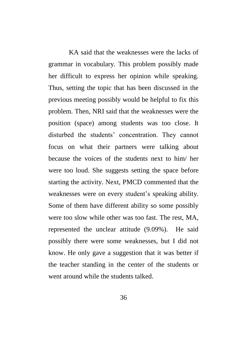KA said that the weaknesses were the lacks of grammar in vocabulary. This problem possibly made her difficult to express her opinion while speaking. Thus, setting the topic that has been discussed in the previous meeting possibly would be helpful to fix this problem. Then, NRI said that the weaknesses were the position (space) among students was too close. It disturbed the students' concentration. They cannot focus on what their partners were talking about because the voices of the students next to him/ her were too loud. She suggests setting the space before starting the activity. Next, PMCD commented that the weaknesses were on every student's speaking ability. Some of them have different ability so some possibly were too slow while other was too fast. The rest, MA, represented the unclear attitude (9.09%). He said possibly there were some weaknesses, but I did not know. He only gave a suggestion that it was better if the teacher standing in the center of the students or went around while the students talked.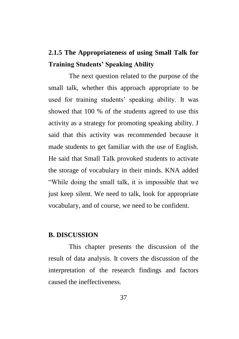## **2.1.5 The Appropriateness of using Small Talk for Training Students' Speaking Ability**

The next question related to the purpose of the small talk, whether this approach appropriate to be used for training students' speaking ability. It was showed that 100 % of the students agreed to use this activity as a strategy for promoting speaking ability. J said that this activity was recommended because it made students to get familiar with the use of English. He said that Small Talk provoked students to activate the storage of vocabulary in their minds. KNA added "While doing the small talk, it is impossible that we just keep silent. We need to talk, look for appropriate vocabulary, and of course, we need to be confident.

## **B. DISCUSSION**

This chapter presents the discussion of the result of data analysis. It covers the discussion of the interpretation of the research findings and factors caused the ineffectiveness.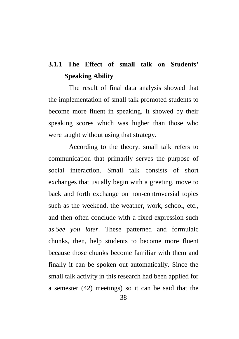# **3.1.1 The Effect of small talk on Students' Speaking Ability**

The result of final data analysis showed that the implementation of small talk promoted students to become more fluent in speaking. It showed by their speaking scores which was higher than those who were taught without using that strategy.

According to the theory, small talk refers to communication that primarily serves the purpose of social interaction. Small talk consists of short exchanges that usually begin with a greeting, move to back and forth exchange on non-controversial topics such as the weekend, the weather, work, school, etc., and then often conclude with a fixed expression such as *See you later*. These patterned and formulaic chunks, then, help students to become more fluent because those chunks become familiar with them and finally it can be spoken out automatically. Since the small talk activity in this research had been applied for a semester (42) meetings) so it can be said that the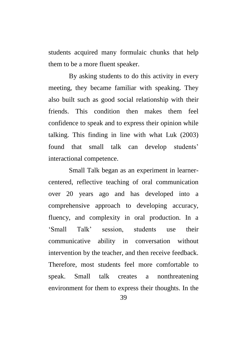students acquired many formulaic chunks that help them to be a more fluent speaker.

By asking students to do this activity in every meeting, they became familiar with speaking. They also built such as good social relationship with their friends. This condition then makes them feel confidence to speak and to express their opinion while talking. This finding in line with what Luk (2003) found that small talk can develop students' interactional competence.

Small Talk began as an experiment in learnercentered, reflective teaching of oral communication over 20 years ago and has developed into a comprehensive approach to developing accuracy, fluency, and complexity in oral production. In a 'Small Talk' session students use their communicative ability in conversation without intervention by the teacher, and then receive feedback. Therefore, most students feel more comfortable to speak. Small talk creates a nonthreatening environment for them to express their thoughts. In the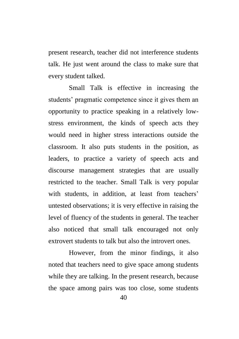present research, teacher did not interference students talk. He just went around the class to make sure that every student talked.

Small Talk is effective in increasing the students' pragmatic competence since it gives them an opportunity to practice speaking in a relatively lowstress environment, the kinds of speech acts they would need in higher stress interactions outside the classroom. It also puts students in the position, as leaders, to practice a variety of speech acts and discourse management strategies that are usually restricted to the teacher. Small Talk is very popular with students, in addition, at least from teachers' untested observations; it is very effective in raising the level of fluency of the students in general. The teacher also noticed that small talk encouraged not only extrovert students to talk but also the introvert ones.

However, from the minor findings, it also noted that teachers need to give space among students while they are talking. In the present research, because the space among pairs was too close, some students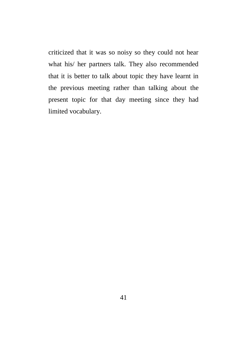criticized that it was so noisy so they could not hear what his/ her partners talk. They also recommended that it is better to talk about topic they have learnt in the previous meeting rather than talking about the present topic for that day meeting since they had limited vocabulary.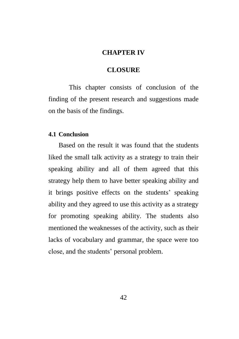### **CHAPTER IV**

#### **CLOSURE**

This chapter consists of conclusion of the finding of the present research and suggestions made on the basis of the findings.

#### **4.1 Conclusion**

Based on the result it was found that the students liked the small talk activity as a strategy to train their speaking ability and all of them agreed that this strategy help them to have better speaking ability and it brings positive effects on the students' speaking ability and they agreed to use this activity as a strategy for promoting speaking ability. The students also mentioned the weaknesses of the activity, such as their lacks of vocabulary and grammar, the space were too close, and the students' personal problem.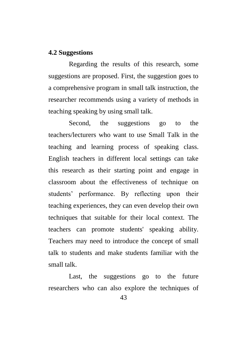## **4.2 Suggestions**

Regarding the results of this research, some suggestions are proposed. First, the suggestion goes to a comprehensive program in small talk instruction, the researcher recommends using a variety of methods in teaching speaking by using small talk.

Second, the suggestions go to the teachers/lecturers who want to use Small Talk in the teaching and learning process of speaking class. English teachers in different local settings can take this research as their starting point and engage in classroom about the effectiveness of technique on students' performance. By reflecting upon their teaching experiences, they can even develop their own techniques that suitable for their local context. The teachers can promote students' speaking ability. Teachers may need to introduce the concept of small talk to students and make students familiar with the small talk.

Last, the suggestions go to the future researchers who can also explore the techniques of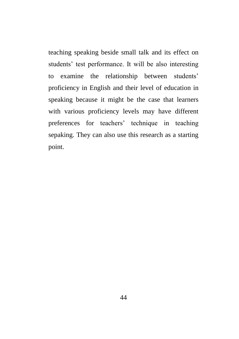teaching speaking beside small talk and its effect on students' test performance. It will be also interesting to examine the relationship between students' proficiency in English and their level of education in speaking because it might be the case that learners with various proficiency levels may have different preferences for teachers' technique in teaching sepaking. They can also use this research as a starting point.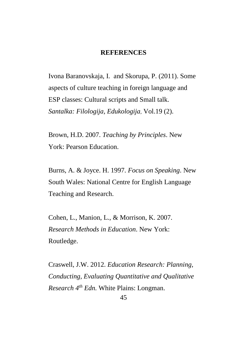#### **REFERENCES**

Ivona Baranovskaja, I. and Skorupa, P. (2011). Some aspects of culture teaching in foreign language and ESP classes: Cultural scripts and Small talk*. Santalka: Filologija, Edukologija,* Vol.19 (2).

Brown, H.D. 2007. *Teaching by Principles*. New York: Pearson Education.

Burns, A. & Joyce. H. 1997. *Focus on Speaking*. New South Wales: National Centre for English Language Teaching and Research.

Cohen, L., Manion, L., & Morrison, K. 2007. *Research Methods in Education*. New York: Routledge.

Craswell, J.W. 2012. *Education Research: Planning, Conducting, Evaluating Quantitative and Qualitative Research 4th Edn.* White Plains: Longman.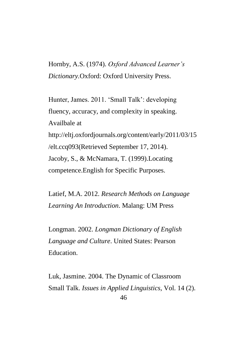Hornby, A.S. (1974). *Oxford Advanced Learner's Dictionary.*Oxford: Oxford University Press.

Hunter, James. 2011. 'Small Talk': developing fluency, accuracy, and complexity in speaking. Availbale at http://eltj.oxfordjournals.org/content/early/2011/03/15 /elt.ccq093(Retrieved September 17, 2014). Jacoby, S., & McNamara, T. (1999).Locating competence.English for Specific Purposes.

Latief, M.A. 2012. *Research Methods on Language Learning An Introduction*. Malang: UM Press

Longman. 2002. *Longman Dictionary of English Language and Culture*. United States: Pearson **Education** 

46 Luk, Jasmine. 2004. The Dynamic of Classroom Small Talk. *Issues in Applied Linguistics,* Vol. 14 (2).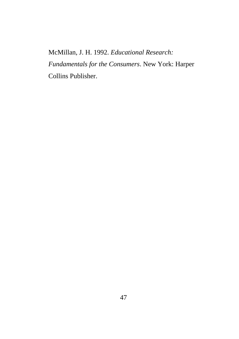McMillan, J. H. 1992. *Educational Research: Fundamentals for the Consumers*. New York: Harper Collins Publisher.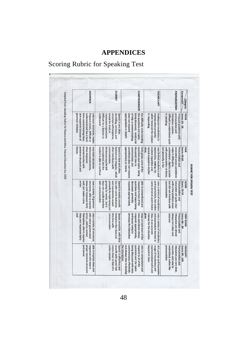## **APPENDICES**

# Scoring Rubric for Speaking Test

| <b>GRANNMAR</b>                                                                                                                                                        | <b>FLUENCY</b>                                                                                                                                                                               | <b>COMPREHENSION</b>                                                                                                                                                                    | <b>VOCABULARY</b>                                                                                                      | PRONUNCIATION                                                                                                                                                              | Component<br>Category               |
|------------------------------------------------------------------------------------------------------------------------------------------------------------------------|----------------------------------------------------------------------------------------------------------------------------------------------------------------------------------------------|-----------------------------------------------------------------------------------------------------------------------------------------------------------------------------------------|------------------------------------------------------------------------------------------------------------------------|----------------------------------------------------------------------------------------------------------------------------------------------------------------------------|-------------------------------------|
| grammar mistakes<br>and responses because of<br>time communicating ideas<br>understand and has a hard<br>frequent errors, difficult to<br>uses basic structures, makes | understand<br>Difficult for a listener to<br>memorized expressions.<br>except for short or<br>uncertain with response<br>stumbling, nervous, and<br>Speech is very slow,                     | the questions and topics<br>appropriately or clearly<br>does not respond<br>of help in communicating;<br>being discussed, needs a lot<br>has difficulty understanding                   | in responding<br>which hindered the student<br>express ideas properly,<br>inadequate vocabulary to                     | pronunciation and<br>in speaking<br>difficult to understand, quiet<br>Frequent problems with<br>intonation, unclear,                                                       | <b>POOR</b><br>Score: 50 - 59       |
| tenses.<br>sentence structure and<br>inconsistencies with<br>often displayed<br>uses basic structures<br>withoccasional errors,                                        | student is able to continue<br>Sentences may be left<br>Speech is slow and often<br>uncompleted, but the<br>communication.<br>often interferes with<br>hesitant and irregular, which         | appropriately or clearly<br>communicate, but<br>sometimes does not respond<br>discussed; tries to<br>questions and topics being<br>fairly grasp some of the                             | student repetitive and<br>expressions, making the<br>cannot expand on his/her<br>uses limited vocabulary and<br>ideas. | understand ; slightly unclear<br>but generally is fair.<br>with pronunciation at times,<br>intonation errors sometimes<br><b>Pronunciation and</b><br>make it difficult to | <b>FAIR</b><br><b>Score: 60-69</b>  |
| errors<br>structures, able to express<br>well, but makes some<br>uses a variety of grammar<br>ideas and responses fairly                                               | groping for words, but it<br>but with some hesitation<br>with communication<br>does not usually interfere<br>primarily by rephrasing and<br>and unevenness caused<br>Speech is mostly smooth | responds appropriately<br>respond to most of the<br>questions and topics being<br>discussed; generally<br>able to comprehend and                                                        | some errors in word choice<br>and expressions, but makes<br>Arelandebook 10 Yocabulary                                 | communication<br>intonation are quite clear<br>but did not interfere with<br>with a few problem areas<br><b>Pronunciation and</b>                                          | <b>Score: 70-79</b><br>GOOD         |
| <b>Well</b><br>themselves, able to express<br>errors, able to correct<br>ideas and responses fairly<br>with minor grammatical<br>uses a variety of structures          | communication<br>hesitation that does not<br>Speaks smoothly, with little<br>interfere with                                                                                                  | stays on task most of the<br>develops the interaction<br>and keeps trying to<br>responds appropriately,<br>time and almost always                                                       | class, in an accurate<br>and expressions learned in<br>BIVen<br>manner for the situation<br>Areindebov to yocabulary   | accurate<br>giways very clear and<br>intonation are almost<br><b>Pronunciation and</b>                                                                                     | <b>Score: 80 - 89</b><br>VERY GOOD  |
| and tenses<br>able to express ideas and<br>proper sentence structure<br>responses with ease in                                                                         | native speaker<br>Speech is effortless and<br>comes close to that of a<br>smooth with speed that                                                                                             | communicates effectively,<br>being discussed with ease<br>questions and the topics<br>the interaction<br>and always tries to develop<br>respond to all of the<br>able to comprehend and | rich, precise and impressive<br>usage of vocabulary and<br>beyond of class<br>expressionslearned in and                | understand, native-like<br>pronunciation<br>accurate, and easy to<br>Pronunclation and<br>intonation are very clear,                                                       | Score: 90 - 100<br><b>EXCELLENT</b> |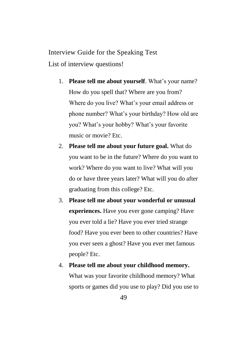Interview Guide for the Speaking Test List of interview questions!

- 1. **Please tell me about yourself**. What's your name? How do you spell that? Where are you from? Where do you live? What's your email address or phone number? What's your birthday? How old are you? What's your hobby? What's your favorite music or movie? Etc.
- 2. **Please tell me about your future goal.** What do you want to be in the future? Where do you want to work? Where do you want to live? What will you do or have three years later? What will you do after graduating from this college? Etc.
- 3. **Please tell me about your wonderful or unusual experiences.** Have you ever gone camping? Have you ever told a lie? Have you ever tried strange food? Have you ever been to other countries? Have you ever seen a ghost? Have you ever met famous people? Etc.
- 4. **Please tell me about your childhood memory.**  What was your favorite childhood memory? What sports or games did you use to play? Did you use to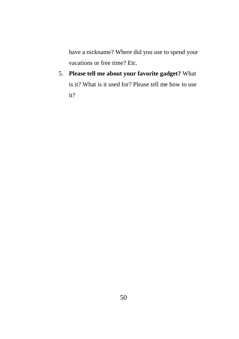have a nickname? Where did you use to spend your vacations or free time? Etc.

5. **Please tell me about your favorite gadget?** What is it? What is it used for? Please tell me how to use it?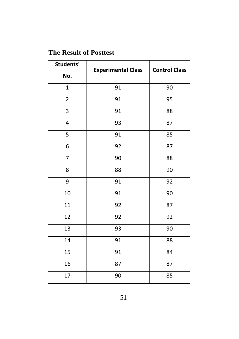## **The Result of Posttest**

| Students'      |                           | <b>Control Class</b> |  |  |
|----------------|---------------------------|----------------------|--|--|
| No.            | <b>Experimental Class</b> |                      |  |  |
| $\mathbf{1}$   | 91                        | 90                   |  |  |
| $\overline{2}$ | 91                        | 95                   |  |  |
| 3              | 91                        | 88                   |  |  |
| 4              | 93                        | 87                   |  |  |
| 5              | 91                        | 85                   |  |  |
| 6              | 92                        | 87                   |  |  |
| $\overline{7}$ | 90                        | 88                   |  |  |
| 8              | 88                        | 90                   |  |  |
| 9              | 91                        | 92                   |  |  |
| $10\,$         | 91                        | 90                   |  |  |
| 11             | 92                        | 87                   |  |  |
| 12             | 92                        | 92                   |  |  |
| 13             | 93                        | 90                   |  |  |
| 14             | 91                        | 88                   |  |  |
| 15             | 91                        | 84                   |  |  |
| 16             | 87                        | 87                   |  |  |
| 17             | 90                        | 85                   |  |  |